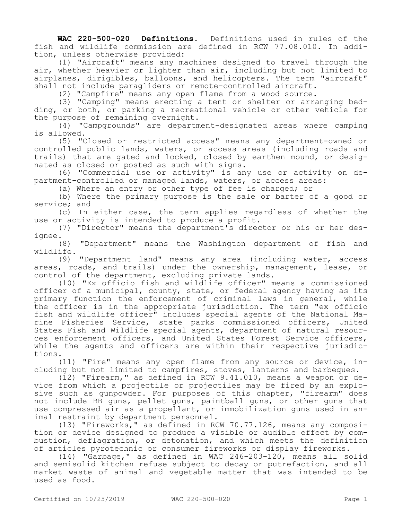**WAC 220-500-020 Definitions.** Definitions used in rules of the fish and wildlife commission are defined in RCW 77.08.010. In addition, unless otherwise provided:

(1) "Aircraft" means any machines designed to travel through the air, whether heavier or lighter than air, including but not limited to airplanes, dirigibles, balloons, and helicopters. The term "aircraft" shall not include paragliders or remote-controlled aircraft.

(2) "Campfire" means any open flame from a wood source.

(3) "Camping" means erecting a tent or shelter or arranging bedding, or both, or parking a recreational vehicle or other vehicle for the purpose of remaining overnight.

(4) "Campgrounds" are department-designated areas where camping is allowed.

(5) "Closed or restricted access" means any department-owned or controlled public lands, waters, or access areas (including roads and trails) that are gated and locked, closed by earthen mound, or designated as closed or posted as such with signs.

(6) "Commercial use or activity" is any use or activity on department-controlled or managed lands, waters, or access areas:

(a) Where an entry or other type of fee is charged; or

(b) Where the primary purpose is the sale or barter of a good or service; and

(c) In either case, the term applies regardless of whether the use or activity is intended to produce a profit.

(7) "Director" means the department's director or his or her designee.

(8) "Department" means the Washington department of fish and wildlife.

(9) "Department land" means any area (including water, access areas, roads, and trails) under the ownership, management, lease, or control of the department, excluding private lands.

(10) "Ex officio fish and wildlife officer" means a commissioned officer of a municipal, county, state, or federal agency having as its primary function the enforcement of criminal laws in general, while the officer is in the appropriate jurisdiction. The term "ex officio fish and wildlife officer" includes special agents of the National Marine Fisheries Service, state parks commissioned officers, United States Fish and Wildlife special agents, department of natural resources enforcement officers, and United States Forest Service officers, while the agents and officers are within their respective jurisdictions.

(11) "Fire" means any open flame from any source or device, including but not limited to campfires, stoves, lanterns and barbeques.

(12) "Firearm," as defined in RCW 9.41.010, means a weapon or device from which a projectile or projectiles may be fired by an explosive such as gunpowder. For purposes of this chapter, "firearm" does not include BB guns, pellet guns, paintball guns, or other guns that use compressed air as a propellant, or immobilization guns used in animal restraint by department personnel.

(13) "Fireworks," as defined in RCW 70.77.126, means any composition or device designed to produce a visible or audible effect by combustion, deflagration, or detonation, and which meets the definition of articles pyrotechnic or consumer fireworks or display fireworks.

(14) "Garbage," as defined in WAC 246-203-120, means all solid and semisolid kitchen refuse subject to decay or putrefaction, and all market waste of animal and vegetable matter that was intended to be used as food.